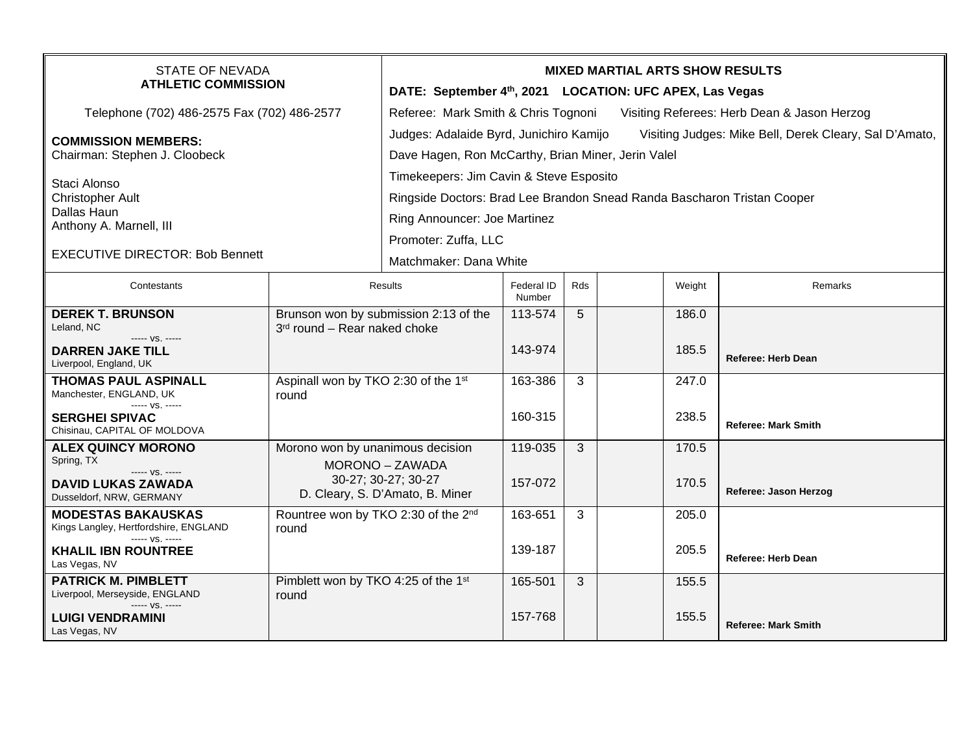| <b>STATE OF NEVADA</b><br><b>ATHLETIC COMMISSION</b>                                                                               |                                                                                                               | <b>MIXED MARTIAL ARTS SHOW RESULTS</b><br>DATE: September 4th, 2021 LOCATION: UFC APEX, Las Vegas                                                                          |                      |     |  |                |                            |  |  |
|------------------------------------------------------------------------------------------------------------------------------------|---------------------------------------------------------------------------------------------------------------|----------------------------------------------------------------------------------------------------------------------------------------------------------------------------|----------------------|-----|--|----------------|----------------------------|--|--|
| Telephone (702) 486-2575 Fax (702) 486-2577                                                                                        |                                                                                                               | Referee: Mark Smith & Chris Tognoni<br>Visiting Referees: Herb Dean & Jason Herzog                                                                                         |                      |     |  |                |                            |  |  |
| <b>COMMISSION MEMBERS:</b><br>Chairman: Stephen J. Cloobeck                                                                        |                                                                                                               | Judges: Adalaide Byrd, Junichiro Kamijo<br>Visiting Judges: Mike Bell, Derek Cleary, Sal D'Amato,<br>Dave Hagen, Ron McCarthy, Brian Miner, Jerin Valel                    |                      |     |  |                |                            |  |  |
| Staci Alonso<br>Christopher Ault<br>Dallas Haun<br>Anthony A. Marnell, III                                                         |                                                                                                               | Timekeepers: Jim Cavin & Steve Esposito<br>Ringside Doctors: Brad Lee Brandon Snead Randa Bascharon Tristan Cooper<br>Ring Announcer: Joe Martinez<br>Promoter: Zuffa, LLC |                      |     |  |                |                            |  |  |
| <b>EXECUTIVE DIRECTOR: Bob Bennett</b>                                                                                             |                                                                                                               | Matchmaker: Dana White                                                                                                                                                     |                      |     |  |                |                            |  |  |
| Contestants                                                                                                                        | Results                                                                                                       |                                                                                                                                                                            | Federal ID<br>Number | Rds |  | Weight         | Remarks                    |  |  |
| <b>DEREK T. BRUNSON</b><br>Leland, NC                                                                                              | Brunson won by submission 2:13 of the<br>3rd round - Rear naked choke                                         |                                                                                                                                                                            | 113-574              | 5   |  | 186.0          |                            |  |  |
| ----- VS. -----<br><b>DARREN JAKE TILL</b><br>Liverpool, England, UK                                                               |                                                                                                               |                                                                                                                                                                            | 143-974              |     |  | 185.5          | <b>Referee: Herb Dean</b>  |  |  |
| <b>THOMAS PAUL ASPINALL</b><br>Manchester, ENGLAND, UK<br>----- VS. -----<br><b>SERGHEI SPIVAC</b><br>Chisinau, CAPITAL OF MOLDOVA | Aspinall won by TKO 2:30 of the 1st<br>round                                                                  |                                                                                                                                                                            | 163-386<br>160-315   | 3   |  | 247.0<br>238.5 | <b>Referee: Mark Smith</b> |  |  |
| <b>ALEX QUINCY MORONO</b><br>Spring, TX<br>$--- VS. ---$<br><b>DAVID LUKAS ZAWADA</b><br>Dusseldorf, NRW, GERMANY                  | Morono won by unanimous decision<br>MORONO - ZAWADA<br>30-27; 30-27; 30-27<br>D. Cleary, S. D'Amato, B. Miner |                                                                                                                                                                            | 119-035<br>157-072   | 3   |  | 170.5<br>170.5 | Referee: Jason Herzog      |  |  |
| <b>MODESTAS BAKAUSKAS</b><br>Kings Langley, Hertfordshire, ENGLAND<br>$--- VS. ---$<br><b>KHALIL IBN ROUNTREE</b><br>Las Vegas, NV | Rountree won by TKO 2:30 of the 2 <sup>nd</sup><br>round                                                      |                                                                                                                                                                            | 163-651<br>139-187   | 3   |  | 205.0<br>205.5 | <b>Referee: Herb Dean</b>  |  |  |
| <b>PATRICK M. PIMBLETT</b><br>Liverpool, Merseyside, ENGLAND<br>$--- VS. ---$<br><b>LUIGI VENDRAMINI</b><br>Las Vegas, NV          | Pimblett won by TKO 4:25 of the 1st<br>round                                                                  |                                                                                                                                                                            | 165-501<br>157-768   | 3   |  | 155.5<br>155.5 | <b>Referee: Mark Smith</b> |  |  |